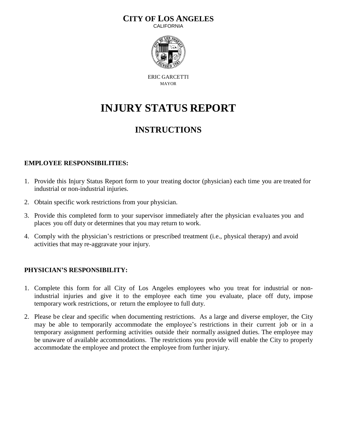### **CITY OF LOS ANGELES**

**CALIFORNIA** 



ERIC GARCETTI MAYOR

# **INJURY STATUS REPORT**

## **INSTRUCTIONS**

#### **EMPLOYEE RESPONSIBILITIES:**

- 1. Provide this Injury Status Report form to your treating doctor (physician) each time you are treated for industrial or non-industrial injuries.
- 2. Obtain specific work restrictions from your physician.
- 3. Provide this completed form to your supervisor immediately after the physician evaluates you and places you off duty or determines that you may return to work.
- 4. Comply with the physician's restrictions or prescribed treatment (i.e., physical therapy) and avoid activities that may re-aggravate your injury.

#### **PHYSICIAN'S RESPONSIBILITY:**

- 1. Complete this form for all City of Los Angeles employees who you treat for industrial or nonindustrial injuries and give it to the employee each time you evaluate, place off duty, impose temporary work restrictions, or return the employee to full duty.
- 2. Please be clear and specific when documenting restrictions. As a large and diverse employer, the City may be able to temporarily accommodate the employee's restrictions in their current job or in a temporary assignment performing activities outside their normally assigned duties. The employee may be unaware of available accommodations. The restrictions you provide will enable the City to properly accommodate the employee and protect the employee from further injury.